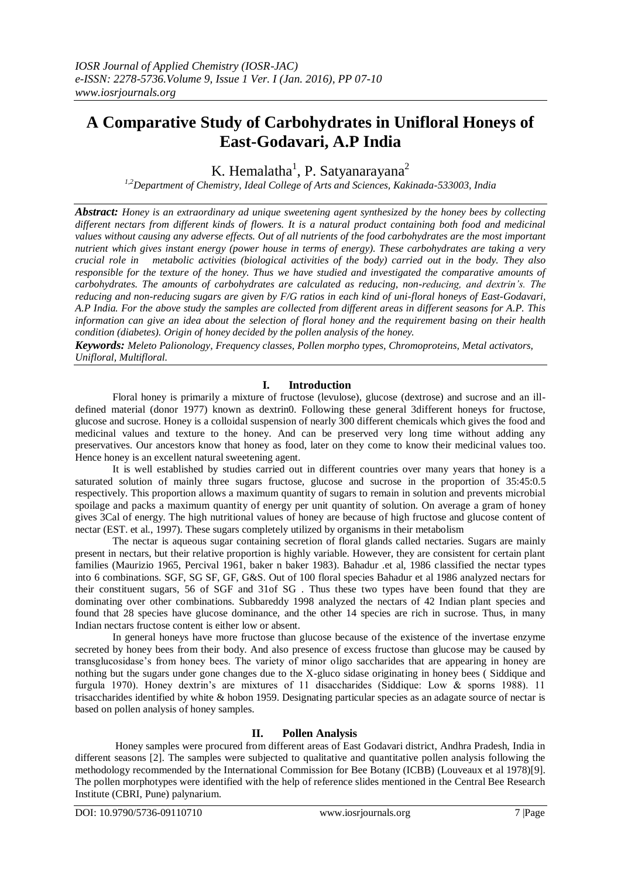# **A Comparative Study of Carbohydrates in Unifloral Honeys of East-Godavari, A.P India**

K. Hemalatha<sup>1</sup>, P. Satyanarayana<sup>2</sup>

*1,2Department of Chemistry, Ideal College of Arts and Sciences, Kakinada-533003, India* 

*Abstract: Honey is an extraordinary ad unique sweetening agent synthesized by the honey bees by collecting different nectars from different kinds of flowers. It is a natural product containing both food and medicinal values without causing any adverse effects. Out of all nutrients of the food carbohydrates are the most important nutrient which gives instant energy (power house in terms of energy). These carbohydrates are taking a very crucial role in metabolic activities (biological activities of the body) carried out in the body. They also responsible for the texture of the honey. Thus we have studied and investigated the comparative amounts of carbohydrates. The amounts of carbohydrates are calculated as reducing, non-reducing, and dextrin's. The reducing and non-reducing sugars are given by F/G ratios in each kind of uni-floral honeys of East-Godavari, A.P India. For the above study the samples are collected from different areas in different seasons for A.P. This information can give an idea about the selection of floral honey and the requirement basing on their health condition (diabetes). Origin of honey decided by the pollen analysis of the honey.*

*Keywords: Meleto Palionology, Frequency classes, Pollen morpho types, Chromoproteins, Metal activators, Unifloral, Multifloral.* 

# **I. Introduction**

Floral honey is primarily a mixture of fructose (levulose), glucose (dextrose) and sucrose and an illdefined material (donor 1977) known as dextrin0. Following these general 3different honeys for fructose, glucose and sucrose. Honey is a colloidal suspension of nearly 300 different chemicals which gives the food and medicinal values and texture to the honey. And can be preserved very long time without adding any preservatives. Our ancestors know that honey as food, later on they come to know their medicinal values too. Hence honey is an excellent natural sweetening agent.

It is well established by studies carried out in different countries over many years that honey is a saturated solution of mainly three sugars fructose, glucose and sucrose in the proportion of 35:45:0.5 respectively. This proportion allows a maximum quantity of sugars to remain in solution and prevents microbial spoilage and packs a maximum quantity of energy per unit quantity of solution. On average a gram of honey gives 3Cal of energy. The high nutritional values of honey are because of high fructose and glucose content of nectar (EST. et al., 1997). These sugars completely utilized by organisms in their metabolism

The nectar is aqueous sugar containing secretion of floral glands called nectaries. Sugars are mainly present in nectars, but their relative proportion is highly variable. However, they are consistent for certain plant families (Maurizio 1965, Percival 1961, baker n baker 1983). Bahadur .et al, 1986 classified the nectar types into 6 combinations. SGF, SG SF, GF, G&S. Out of 100 floral species Bahadur et al 1986 analyzed nectars for their constituent sugars, 56 of SGF and 31of SG . Thus these two types have been found that they are dominating over other combinations. Subbareddy 1998 analyzed the nectars of 42 Indian plant species and found that 28 species have glucose dominance, and the other 14 species are rich in sucrose. Thus, in many Indian nectars fructose content is either low or absent.

In general honeys have more fructose than glucose because of the existence of the invertase enzyme secreted by honey bees from their body. And also presence of excess fructose than glucose may be caused by transglucosidase's from honey bees. The variety of minor oligo saccharides that are appearing in honey are nothing but the sugars under gone changes due to the X-gluco sidase originating in honey bees ( Siddique and furgula 1970). Honey dextrin's are mixtures of 11 disaccharides (Siddique: Low & sporns 1988). 11 trisaccharides identified by white & hobon 1959. Designating particular species as an adagate source of nectar is based on pollen analysis of honey samples.

# **II. Pollen Analysis**

Honey samples were procured from different areas of East Godavari district, Andhra Pradesh, India in different seasons [2]. The samples were subjected to qualitative and quantitative pollen analysis following the methodology recommended by the International Commission for Bee Botany (ICBB) (Louveaux et al 1978)[9]. The pollen morphotypes were identified with the help of reference slides mentioned in the Central Bee Research Institute (CBRI, Pune) palynarium.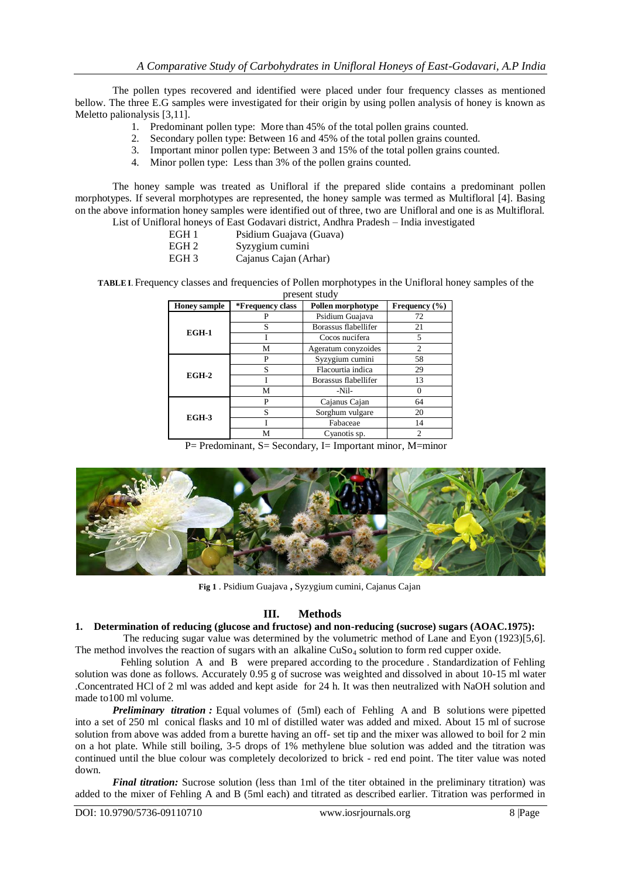The pollen types recovered and identified were placed under four frequency classes as mentioned bellow. The three E.G samples were investigated for their origin by using pollen analysis of honey is known as Meletto palionalysis [3,11].

- 1. Predominant pollen type: More than 45% of the total pollen grains counted.
- 2. Secondary pollen type: Between 16 and 45% of the total pollen grains counted.
- 3. Important minor pollen type: Between 3 and 15% of the total pollen grains counted.
- 4. Minor pollen type: Less than 3% of the pollen grains counted.

The honey sample was treated as Unifloral if the prepared slide contains a predominant pollen morphotypes. If several morphotypes are represented, the honey sample was termed as Multifloral [4]. Basing on the above information honey samples were identified out of three, two are Unifloral and one is as Multifloral. List of Unifloral honeys of East Godavari district, Andhra Pradesh – India investigated

- EGH 1 Psidium Guajava (Guava)
	-
- EGH 2 Syzygium cumini<br>EGH 3 Caianus Caian (A Cajanus Cajan (Arhar)

**TABLE I**.Frequency classes and frequencies of Pollen morphotypes in the Unifloral honey samples of the present study

| <b>Honey sample</b> | *Frequency class | Pollen morphotype    | Frequency $(\% )$ |
|---------------------|------------------|----------------------|-------------------|
| EGH-1               | P                | Psidium Guajava      | 72                |
|                     | S                | Borassus flabellifer | 21                |
|                     |                  | Cocos nucifera       | 5                 |
|                     | М                | Ageratum conyzoides  | $\mathfrak{D}$    |
| $EGH-2$             | P                | Syzygium cumini      | 58                |
|                     | S                | Flacourtia indica    | 29                |
|                     |                  | Borassus flabellifer | 13                |
|                     | M                | -Nil-                |                   |
| EGH-3               | P                | Cajanus Cajan        | 64                |
|                     | S                | Sorghum vulgare      | 20                |
|                     |                  | Fabaceae             | 14                |
|                     | M                | Cyanotis sp.         | 2                 |

P= Predominant, S= Secondary, I= Important minor, M=minor



**Fig 1** . Psidium Guajava **,** Syzygium cumini, Cajanus Cajan

# **III. Methods**

## **1. Determination of reducing (glucose and fructose) and non-reducing (sucrose) sugars (AOAC.1975):**

 The reducing sugar value was determined by the volumetric method of Lane and Eyon (1923)[5,6]. The method involves the reaction of sugars with an alkaline  $CuSo<sub>4</sub>$  solution to form red cupper oxide.

Fehling solution A and B were prepared according to the procedure . Standardization of Fehling solution was done as follows. Accurately 0.95 g of sucrose was weighted and dissolved in about 10-15 ml water .Concentrated HCl of 2 ml was added and kept aside for 24 h. It was then neutralized with NaOH solution and made to100 ml volume.

*Preliminary titration :* Equal volumes of (5ml) each of Fehling A and B solutions were pipetted into a set of 250 ml conical flasks and 10 ml of distilled water was added and mixed. About 15 ml of sucrose solution from above was added from a burette having an off- set tip and the mixer was allowed to boil for 2 min on a hot plate. While still boiling, 3-5 drops of 1% methylene blue solution was added and the titration was continued until the blue colour was completely decolorized to brick - red end point. The titer value was noted down.

*Final titration:* Sucrose solution (less than 1ml of the titer obtained in the preliminary titration) was added to the mixer of Fehling A and B (5ml each) and titrated as described earlier. Titration was performed in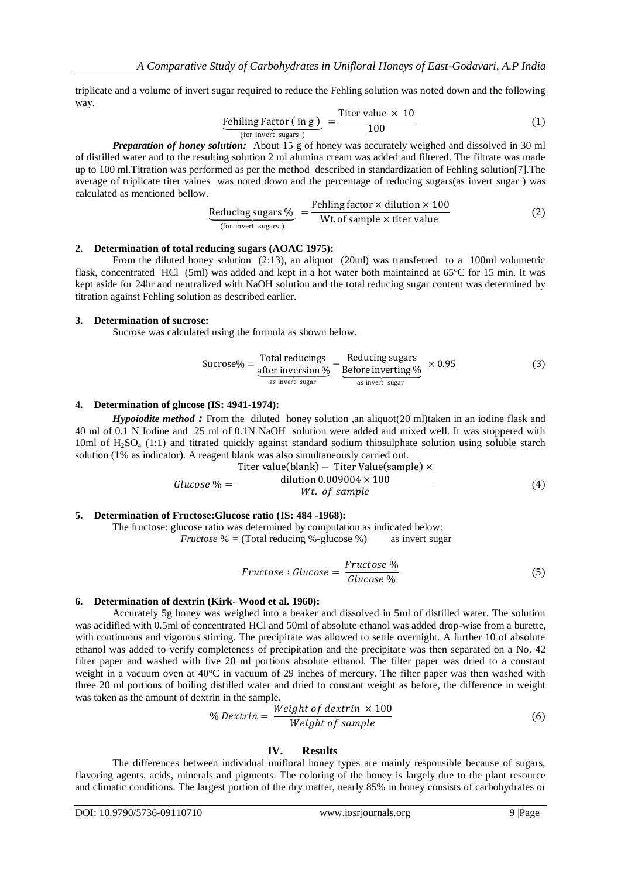triplicate and a volume of invert sugar required to reduce the Fehling solution was noted down and the following way.

$$
\underbrace{\text{Fehiling Factor ( in g)}}_{\text{(for invert sugars)}} = \frac{\text{Titer value} \times 10}{100} \tag{1}
$$

*Preparation of honey solution:* About 15 g of honey was accurately weighed and dissolved in 30 ml of distilled water and to the resulting solution 2 ml alumina cream was added and filtered. The filtrate was made up to 100 ml.Titration was performed as per the method described in standardization of Fehling solution[7].The average of triplicate titer values was noted down and the percentage of reducing sugars(as invert sugar ) was calculated as mentioned bellow.

Reducing sugars % = 
$$
\frac{\text{Fehling factor} \times \text{dilution} \times 100}{\text{Wt of sample} \times \text{titer value}}
$$
 (2)

### **2. Determination of total reducing sugars (AOAC 1975):**

From the diluted honey solution (2:13), an aliquot (20ml) was transferred to a 100ml volumetric flask, concentrated HCl (5ml) was added and kept in a hot water both maintained at 65°C for 15 min. It was kept aside for 24hr and neutralized with NaOH solution and the total reducing sugar content was determined by titration against Fehling solution as described earlier.

### **3. Determination of sucrose:**

Sucrose was calculated using the formula as shown below.

$$
Sucrose\% = \underbrace{\text{Total reducing} \atop \text{after inversion }\%}_{\text{as invert sugar}} - \underbrace{\text{Reduce inverting }\%}_{\text{as invert sugar}} \times 0.95
$$
 (3)

## **4. Determination of glucose (IS: 4941-1974):**

*Hypoiodite method* : From the diluted honey solution ,an aliquot(20 ml)taken in an iodine flask and 40 ml of 0.1 N Iodine and 25 ml of 0.1N NaOH solution were added and mixed well. It was stoppered with 10ml of H2SO<sup>4</sup> (1:1) and titrated quickly against standard sodium thiosulphate solution using soluble starch solution (1% as indicator). A reagent blank was also simultaneously carried out.

$$
Glucose \% = \frac{\text{Titer value(blank)} - \text{Titer Value(sample)} \times \text{Glucose } \% = \frac{\text{dilution } 0.009004 \times 100}{\text{Wt. of sample}}
$$
(4)

#### **5. Determination of Fructose:Glucose ratio (IS: 484 -1968):**

The fructose: glucose ratio was determined by computation as indicated below:

*Fructose* % = (Total reducing %-glucose %) as invert sugar

$$
Fructose: Glucose = \frac{Fructose \%}{Glucose \%}
$$
 (5)

#### **6. Determination of dextrin (Kirk- Wood et al. 1960):**

Accurately 5g honey was weighed into a beaker and dissolved in 5ml of distilled water. The solution was acidified with 0.5ml of concentrated HCl and 50ml of absolute ethanol was added drop-wise from a burette, with continuous and vigorous stirring. The precipitate was allowed to settle overnight. A further 10 of absolute ethanol was added to verify completeness of precipitation and the precipitate was then separated on a No. 42 filter paper and washed with five 20 ml portions absolute ethanol. The filter paper was dried to a constant weight in a vacuum oven at 40°C in vacuum of 29 inches of mercury. The filter paper was then washed with three 20 ml portions of boiling distilled water and dried to constant weight as before, the difference in weight was taken as the amount of dextrin in the sample.

$$
\% \text{Dextrin} = \frac{Weight \text{ of } dextrin \times 100}{Weight \text{ of } sample} \tag{6}
$$

## **IV. Results**

The differences between individual unifloral honey types are mainly responsible because of sugars, flavoring agents, acids, minerals and pigments. The coloring of the honey is largely due to the plant resource and climatic conditions. The largest portion of the dry matter, nearly 85% in honey consists of carbohydrates or